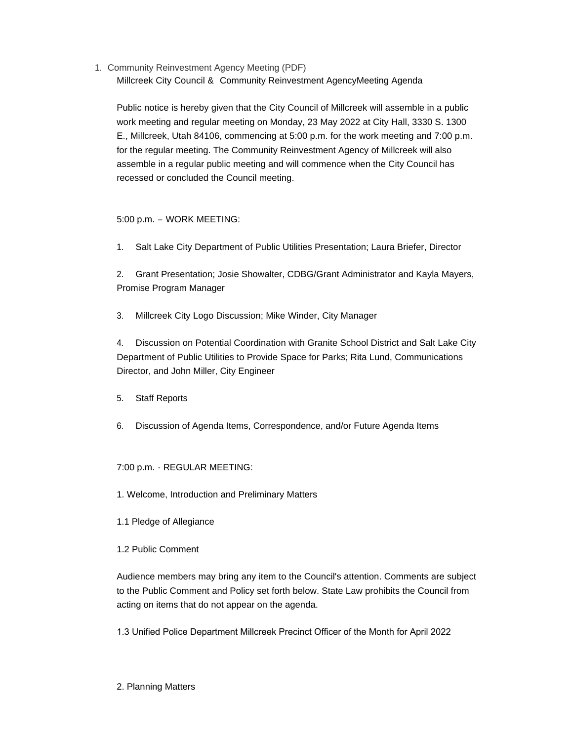1. Community Reinvestment Agency Meeting (PDF) Millcreek City Council & Community Reinvestment AgencyMeeting Agenda

Public notice is hereby given that the City Council of Millcreek will assemble in a public work meeting and regular meeting on Monday, 23 May 2022 at City Hall, 3330 S. 1300 E., Millcreek, Utah 84106, commencing at 5:00 p.m. for the work meeting and 7:00 p.m. for the regular meeting. The Community Reinvestment Agency of Millcreek will also assemble in a regular public meeting and will commence when the City Council has recessed or concluded the Council meeting.

## 5:00 p.m. – WORK MEETING:

1. Salt Lake City Department of Public Utilities Presentation; Laura Briefer, Director

2. Grant Presentation; Josie Showalter, CDBG/Grant Administrator and Kayla Mayers, Promise Program Manager

3. Millcreek City Logo Discussion; Mike Winder, City Manager

4. Discussion on Potential Coordination with Granite School District and Salt Lake City Department of Public Utilities to Provide Space for Parks; Rita Lund, Communications Director, and John Miller, City Engineer

- 5. Staff Reports
- 6. Discussion of Agenda Items, Correspondence, and/or Future Agenda Items

## 7:00 p.m. - REGULAR MEETING:

- 1. Welcome, Introduction and Preliminary Matters
- 1.1 Pledge of Allegiance
- 1.2 Public Comment

Audience members may bring any item to the Council's attention. Comments are subject to the Public Comment and Policy set forth below. State Law prohibits the Council from acting on items that do not appear on the agenda.

1.3 Unified Police Department Millcreek Precinct Officer of the Month for April 2022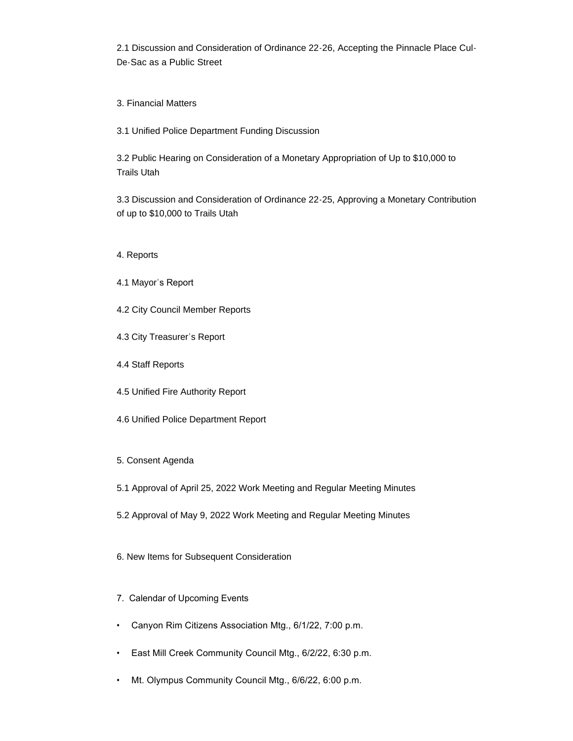2.1 Discussion and Consideration of Ordinance 22-26, Accepting the Pinnacle Place Cul-De-Sac as a Public Street

3. Financial Matters

3.1 Unified Police Department Funding Discussion

3.2 Public Hearing on Consideration of a Monetary Appropriation of Up to \$10,000 to Trails Utah

3.3 Discussion and Consideration of Ordinance 22-25, Approving a Monetary Contribution of up to \$10,000 to Trails Utah

- 4. Reports
- 4.1 Mayor's Report
- 4.2 City Council Member Reports
- 4.3 City Treasurer's Report
- 4.4 Staff Reports
- 4.5 Unified Fire Authority Report
- 4.6 Unified Police Department Report
- 5. Consent Agenda
- 5.1 Approval of April 25, 2022 Work Meeting and Regular Meeting Minutes
- 5.2 Approval of May 9, 2022 Work Meeting and Regular Meeting Minutes
- 6. New Items for Subsequent Consideration
- 7. Calendar of Upcoming Events
- Canyon Rim Citizens Association Mtg., 6/1/22, 7:00 p.m.
- East Mill Creek Community Council Mtg., 6/2/22, 6:30 p.m.
- Mt. Olympus Community Council Mtg., 6/6/22, 6:00 p.m.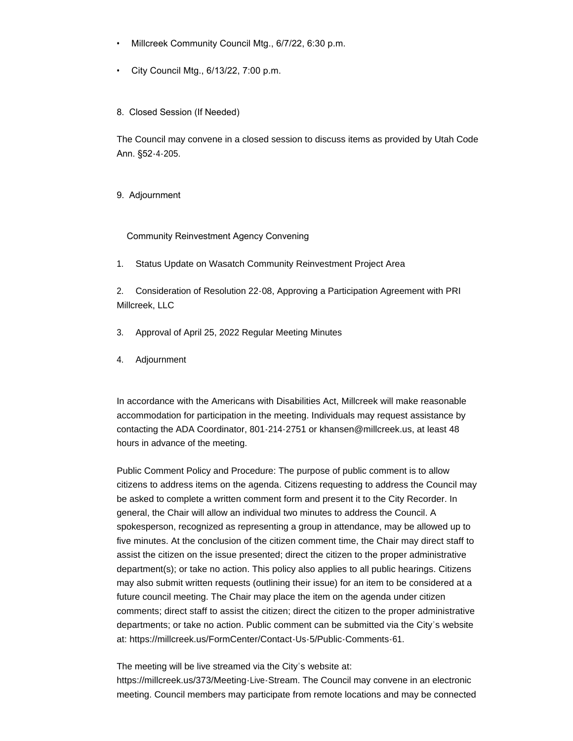- Millcreek Community Council Mtg., 6/7/22, 6:30 p.m.
- City Council Mtg., 6/13/22, 7:00 p.m.

8. Closed Session (If Needed)

The Council may convene in a closed session to discuss items as provided by Utah Code Ann. §52-4-205.

9. Adjournment

Community Reinvestment Agency Convening

1. Status Update on Wasatch Community Reinvestment Project Area

2. Consideration of Resolution 22-08, Approving a Participation Agreement with PRI Millcreek, LLC

3. Approval of April 25, 2022 Regular Meeting Minutes

4. Adjournment

In accordance with the Americans with Disabilities Act, Millcreek will make reasonable accommodation for participation in the meeting. Individuals may request assistance by contacting the ADA Coordinator, 801-214-2751 or khansen@millcreek.us, at least 48 hours in advance of the meeting.

Public Comment Policy and Procedure: The purpose of public comment is to allow citizens to address items on the agenda. Citizens requesting to address the Council may be asked to complete a written comment form and present it to the City Recorder. In general, the Chair will allow an individual two minutes to address the Council. A spokesperson, recognized as representing a group in attendance, may be allowed up to five minutes. At the conclusion of the citizen comment time, the Chair may direct staff to assist the citizen on the issue presented; direct the citizen to the proper administrative department(s); or take no action. This policy also applies to all public hearings. Citizens may also submit written requests (outlining their issue) for an item to be considered at a future council meeting. The Chair may place the item on the agenda under citizen comments; direct staff to assist the citizen; direct the citizen to the proper administrative departments; or take no action. Public comment can be submitted via the City's website at: https://millcreek.us/FormCenter/Contact-Us-5/Public-Comments-61.

The meeting will be live streamed via the City's website at: https://millcreek.us/373/Meeting-Live-Stream. The Council may convene in an electronic meeting. Council members may participate from remote locations and may be connected